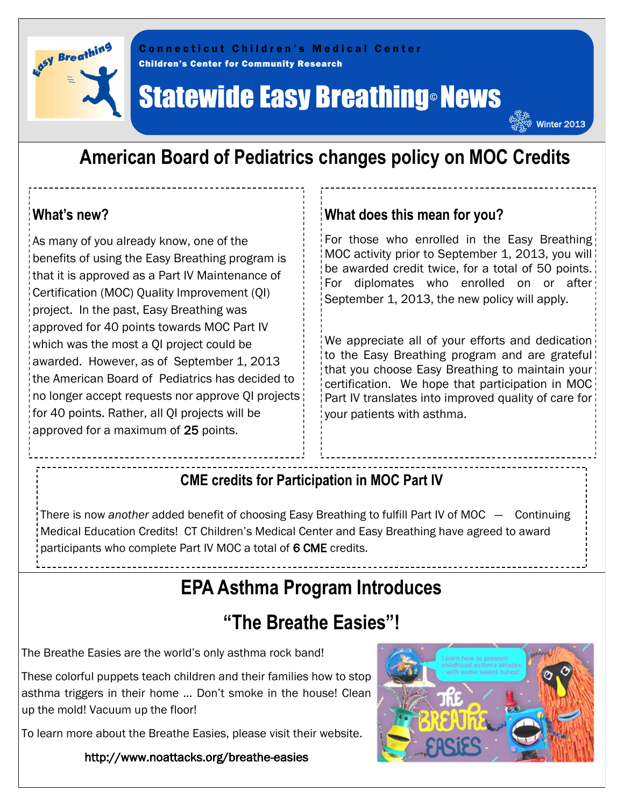

Children's Center for Community Research C o n n e c t i c u t C h i l d r e n ' s M e d i c a l C e n t e r

# **Statewide Easy Breathing® News**

### **American Board of Pediatrics changes policy on MOC Credits**

#### **What's new?**

As many of you already know, one of the benefits of using the Easy Breathing program is that it is approved as a Part IV Maintenance of Certification (MOC) Quality Improvement (QI) project. In the past, Easy Breathing was approved for 40 points towards MOC Part IV which was the most a QI project could be awarded. However, as of September 1, 2013 the American Board of Pediatrics has decided to no longer accept requests nor approve QI projects for 40 points. Rather, all QI projects will be approved for a maximum of 25 points.

#### **What does this mean for you?**

For those who enrolled in the Easy Breathing MOC activity prior to September 1, 2013, you will be awarded credit twice, for a total of 50 points. For diplomates who enrolled on or after September 1, 2013, the new policy will apply.

Winter 2013

We appreciate all of your efforts and dedication to the Easy Breathing program and are grateful that you choose Easy Breathing to maintain your certification. We hope that participation in MOC Part IV translates into improved quality of care for your patients with asthma.

#### **CME credits for Participation in MOC Part IV**

There is now *another* added benefit of choosing Easy Breathing to fulfill Part IV of MOC — Continuing Medical Education Credits! CT Children's Medical Center and Easy Breathing have agreed to award participants who complete Part IV MOC a total of 6 CME credits.

## **EPA Asthma Program Introduces**

## **"The Breathe Easies"!**

The Breathe Easies are the world's only asthma rock band!

These colorful puppets teach children and their families how to stop asthma triggers in their home ... Don't smoke in the house! Clean up the mold! Vacuum up the floor!

To learn more about the Breathe Easies, please visit their website.

http://www.noattacks.org/breathe-easies